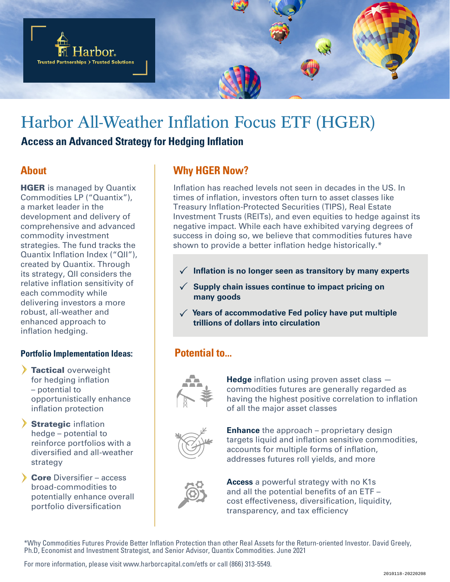

# Harbor All-Weather Inflation Focus ETF (HGER)

### **Access an Advanced Strategy for Hedging Inflation**

## **About**

**HGER** is managed by Quantix Commodities LP ("Quantix"), a market leader in the development and delivery of comprehensive and advanced commodity investment strategies. The fund tracks the Quantix Inflation Index ("QII"), created by Quantix. Through its strategy, QII considers the relative inflation sensitivity of each commodity while delivering investors a more robust, all-weather and enhanced approach to inflation hedging.

### **Portfolio Implementation Ideas:**

- > Tactical overweight for hedging inflation – potential to opportunistically enhance inflation protection
- Strategic inflation hedge – potential to reinforce portfolios with a diversified and all-weather strategy
- Core Diversifier access broad-commodities to potentially enhance overall portfolio diversification

# **Why HGER Now?**

Inflation has reached levels not seen in decades in the US. In times of inflation, investors often turn to asset classes like Treasury Inflation-Protected Securities (TIPS), Real Estate Investment Trusts (REITs), and even equities to hedge against its negative impact. While each have exhibited varying degrees of success in doing so, we believe that commodities futures have shown to provide a better inflation hedge historically.\*

- **Inflation is no longer seen as transitory by many experts**
- **Supply chain issues continue to impact pricing on many goods**
- **Years of accommodative Fed policy have put multiple trillions of dollars into circulation**

# **Potential to...**



**Hedge** inflation using proven asset class commodities futures are generally regarded as having the highest positive correlation to inflation of all the major asset classes



**Enhance** the approach – proprietary design targets liquid and inflation sensitive commodities, accounts for multiple forms of inflation, addresses futures roll yields, and more



**Access** a powerful strategy with no K1s and all the potential benefits of an ETF – cost effectiveness, diversification, liquidity, transparency, and tax efficiency

\*Why Commodities Futures Provide Better Inflation Protection than other Real Assets for the Return-oriented Investor. David Greely, Ph.D, Economist and Investment Strategist, and Senior Advisor, Quantix Commodities. June 2021

For more information, please visit www.harborcapital.com/etfs or call (866) 313‐5549.